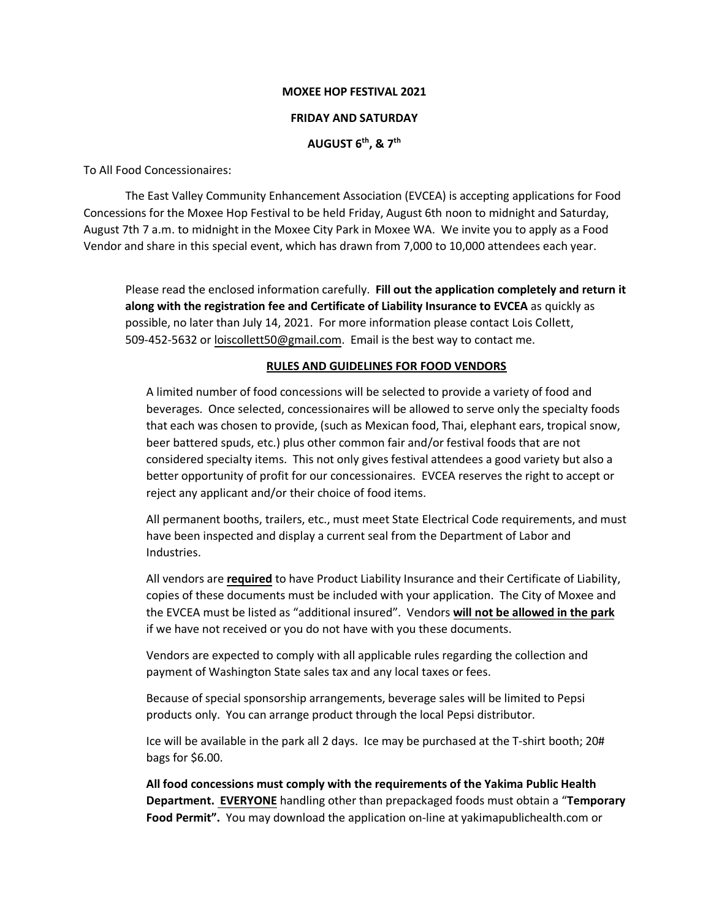#### **MOXEE HOP FESTIVAL 2021**

### **FRIDAY AND SATURDAY**

## **AUGUST 6 th , & 7 th**

To All Food Concessionaires:

The East Valley Community Enhancement Association (EVCEA) is accepting applications for Food Concessions for the Moxee Hop Festival to be held Friday, August 6th noon to midnight and Saturday, August 7th 7 a.m. to midnight in the Moxee City Park in Moxee WA. We invite you to apply as a Food Vendor and share in this special event, which has drawn from 7,000 to 10,000 attendees each year.

Please read the enclosed information carefully. **Fill out the application completely and return it along with the registration fee and Certificate of Liability Insurance to EVCEA** as quickly as possible, no later than July 14, 2021. For more information please contact Lois Collett, 509-452-5632 or [loiscollett50@gm](mailto:plugradsmom@aol.com)ail.com. Email is the best way to contact me.

### **RULES AND GUIDELINES FOR FOOD VENDORS**

A limited number of food concessions will be selected to provide a variety of food and beverages. Once selected, concessionaires will be allowed to serve only the specialty foods that each was chosen to provide, (such as Mexican food, Thai, elephant ears, tropical snow, beer battered spuds, etc.) plus other common fair and/or festival foods that are not considered specialty items. This not only gives festival attendees a good variety but also a better opportunity of profit for our concessionaires. EVCEA reserves the right to accept or reject any applicant and/or their choice of food items.

All permanent booths, trailers, etc., must meet State Electrical Code requirements, and must have been inspected and display a current seal from the Department of Labor and Industries.

All vendors are **required** to have Product Liability Insurance and their Certificate of Liability, copies of these documents must be included with your application. The City of Moxee and the EVCEA must be listed as "additional insured". Vendors **will not be allowed in the park** if we have not received or you do not have with you these documents.

Vendors are expected to comply with all applicable rules regarding the collection and payment of Washington State sales tax and any local taxes or fees.

Because of special sponsorship arrangements, beverage sales will be limited to Pepsi products only. You can arrange product through the local Pepsi distributor.

Ice will be available in the park all 2 days. Ice may be purchased at the T-shirt booth; 20# bags for \$6.00.

**All food concessions must comply with the requirements of the Yakima Public Health Department. EVERYONE** handling other than prepackaged foods must obtain a "**Temporary Food Permit".** You may download the application on-line at yakimapublichealth.com or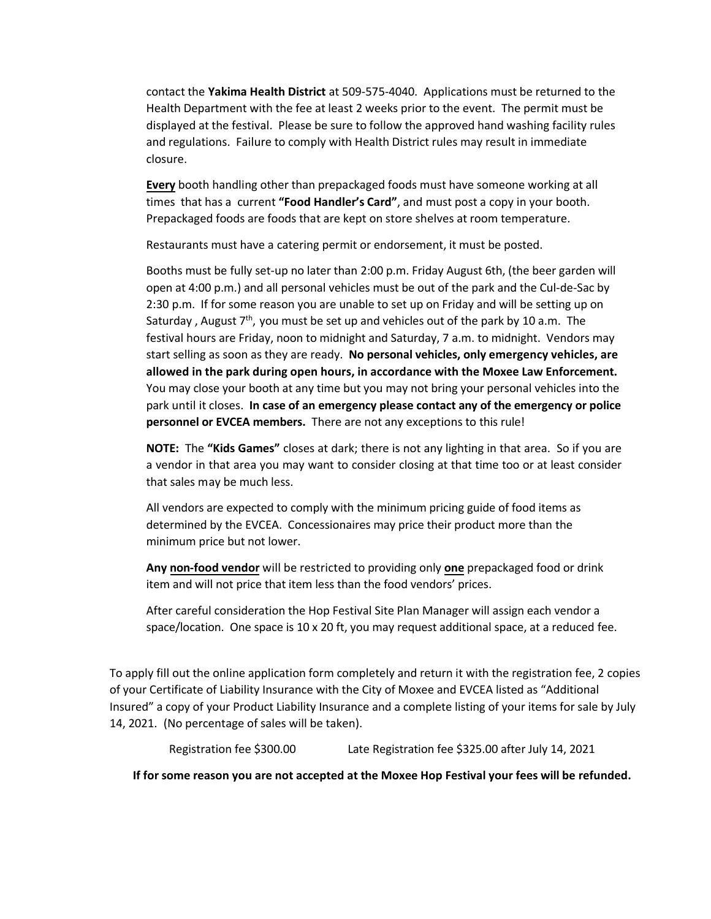contact the **Yakima Health District** at 509-575-4040. Applications must be returned to the Health Department with the fee at least 2 weeks prior to the event. The permit must be displayed at the festival. Please be sure to follow the approved hand washing facility rules and regulations. Failure to comply with Health District rules may result in immediate closure.

**Every** booth handling other than prepackaged foods must have someone working at all times that has a current **"Food Handler's Card"**, and must post a copy in your booth. Prepackaged foods are foods that are kept on store shelves at room temperature.

Restaurants must have a catering permit or endorsement, it must be posted.

Booths must be fully set-up no later than 2:00 p.m. Friday August 6th, (the beer garden will open at 4:00 p.m.) and all personal vehicles must be out of the park and the Cul-de-Sac by 2:30 p.m. If for some reason you are unable to set up on Friday and will be setting up on Saturday, August  $7<sup>th</sup>$ , you must be set up and vehicles out of the park by 10 a.m. The festival hours are Friday, noon to midnight and Saturday, 7 a.m. to midnight. Vendors may start selling as soon as they are ready. **No personal vehicles, only emergency vehicles, are allowed in the park during open hours, in accordance with the Moxee Law Enforcement.**  You may close your booth at any time but you may not bring your personal vehicles into the park until it closes. **In case of an emergency please contact any of the emergency or police personnel or EVCEA members.** There are not any exceptions to this rule!

**NOTE:** The **"Kids Games"** closes at dark; there is not any lighting in that area. So if you are a vendor in that area you may want to consider closing at that time too or at least consider that sales may be much less.

All vendors are expected to comply with the minimum pricing guide of food items as determined by the EVCEA. Concessionaires may price their product more than the minimum price but not lower.

**Any non-food vendor** will be restricted to providing only **one** prepackaged food or drink item and will not price that item less than the food vendors' prices.

After careful consideration the Hop Festival Site Plan Manager will assign each vendor a space/location. One space is 10 x 20 ft, you may request additional space, at a reduced fee.

To apply fill out the online application form completely and return it with the registration fee, 2 copies of your Certificate of Liability Insurance with the City of Moxee and EVCEA listed as "Additional Insured" a copy of your Product Liability Insurance and a complete listing of your items for sale by July 14, 2021. (No percentage of sales will be taken).

Registration fee \$300.00 Late Registration fee \$325.00 after July 14, 2021

**If for some reason you are not accepted at the Moxee Hop Festival your fees will be refunded.**